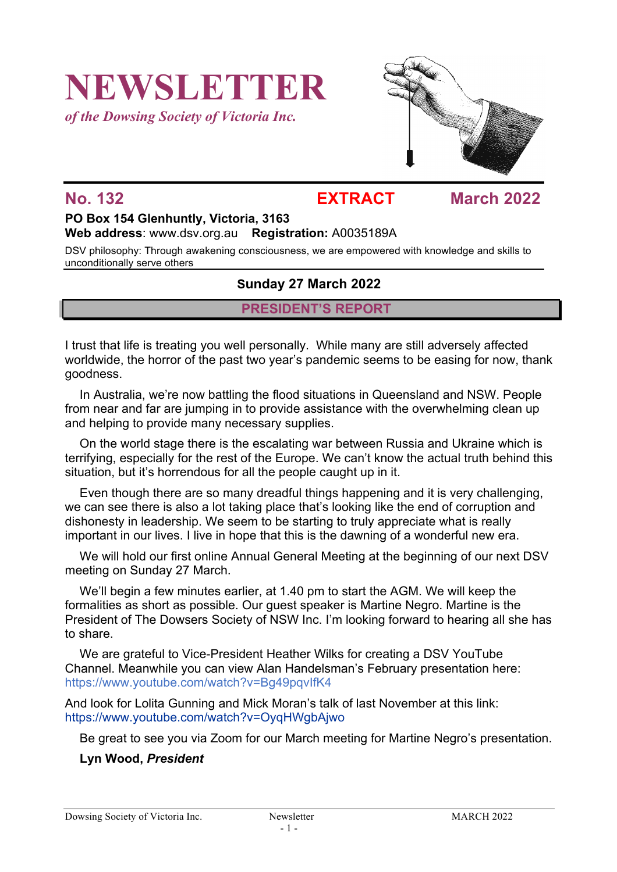# **NEWSLETTER**

*of the Dowsing Society of Victoria Inc.*



## **No. 132 EXTRACT March 2022**

### **PO Box 154 Glenhuntly, Victoria, 3163 Web address**: www.dsv.org.au **Registration:** A0035189A

DSV philosophy: Through awakening consciousness, we are empowered with knowledge and skills to unconditionally serve others

### **Sunday 27 March 2022**

### **PRESIDENT'S REPORT**

I trust that life is treating you well personally. While many are still adversely affected worldwide, the horror of the past two year's pandemic seems to be easing for now, thank goodness.

In Australia, we're now battling the flood situations in Queensland and NSW. People from near and far are jumping in to provide assistance with the overwhelming clean up and helping to provide many necessary supplies.

On the world stage there is the escalating war between Russia and Ukraine which is terrifying, especially for the rest of the Europe. We can't know the actual truth behind this situation, but it's horrendous for all the people caught up in it.

Even though there are so many dreadful things happening and it is very challenging, we can see there is also a lot taking place that's looking like the end of corruption and dishonesty in leadership. We seem to be starting to truly appreciate what is really important in our lives. I live in hope that this is the dawning of a wonderful new era.

We will hold our first online Annual General Meeting at the beginning of our next DSV meeting on Sunday 27 March.

We'll begin a few minutes earlier, at 1.40 pm to start the AGM. We will keep the formalities as short as possible. Our guest speaker is Martine Negro. Martine is the President of The Dowsers Society of NSW Inc. I'm looking forward to hearing all she has to share.

We are grateful to Vice-President Heather Wilks for creating a DSV YouTube Channel. Meanwhile you can view Alan Handelsman's February presentation here: https://www.youtube.com/watch?v=Bg49pqvIfK4

And look for Lolita Gunning and Mick Moran's talk of last November at this link: https://www.youtube.com/watch?v=OyqHWgbAjwo

Be great to see you via Zoom for our March meeting for Martine Negro's presentation.

### **Lyn Wood,** *President*

Dowsing Society of Victoria Inc. Newsletter MARCH 2022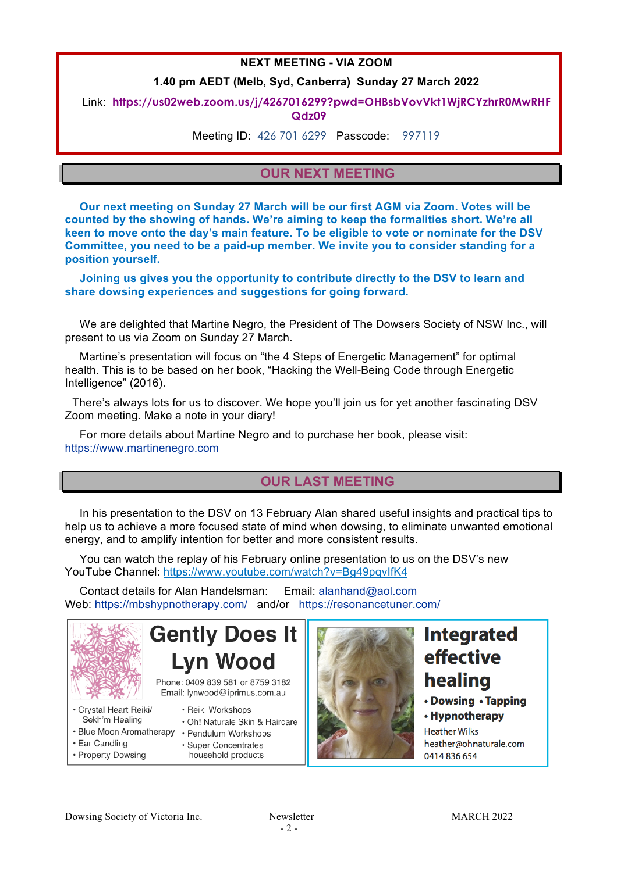### **NEXT MEETING - VIA ZOOM**

### **1.40 pm AEDT (Melb, Syd, Canberra) Sunday 27 March 2022**

### Link: **https://us02web.zoom.us/j/4267016299?pwd=OHBsbVovVkt1WjRCYzhrR0MwRHF Qdz09**

Meeting ID: 426 701 6299 Passcode: 997119

### **OUR NEXT MEETING**

**Our next meeting on Sunday 27 March will be our first AGM via Zoom. Votes will be counted by the showing of hands. We're aiming to keep the formalities short. We're all keen to move onto the day's main feature. To be eligible to vote or nominate for the DSV Committee, you need to be a paid-up member. We invite you to consider standing for a position yourself.** 

**Joining us gives you the opportunity to contribute directly to the DSV to learn and share dowsing experiences and suggestions for going forward.**

We are delighted that Martine Negro, the President of The Dowsers Society of NSW Inc., will present to us via Zoom on Sunday 27 March.

Martine's presentation will focus on "the 4 Steps of Energetic Management" for optimal health. This is to be based on her book, "Hacking the Well-Being Code through Energetic Intelligence" (2016).

There's always lots for us to discover. We hope you'll join us for yet another fascinating DSV Zoom meeting. Make a note in your diary!

For more details about Martine Negro and to purchase her book, please visit: https://www.martinenegro.com

### **OUR LAST MEETING**

In his presentation to the DSV on 13 February Alan shared useful insights and practical tips to help us to achieve a more focused state of mind when dowsing, to eliminate unwanted emotional energy, and to amplify intention for better and more consistent results.

You can watch the replay of his February online presentation to us on the DSV's new YouTube Channel: https://www.youtube.com/watch?v=Bg49pqvIfK4

Contact details for Alan Handelsman: Email: alanhand@aol.com Web: https://mbshypnotherapy.com/ and/or https://resonancetuner.com/



**Gently Does It Lvn Wood** 

Phone: 0409 839 581 or 8759 3182 Email: lynwood@iprimus.com.au

· Super Concentrates

household products

- · Reiki Workshops
- · Oh! Naturale Skin & Haircare
- · Blue Moon Aromatherapy · Pendulum Workshops
- · Ear Candling · Property Dowsing

Sekh'm Healing



## **Integrated** effective healing

### • Dowsing • Tapping

• Hypnotherapy **Heather Wilks** heather@ohnaturale.com 0414 836 654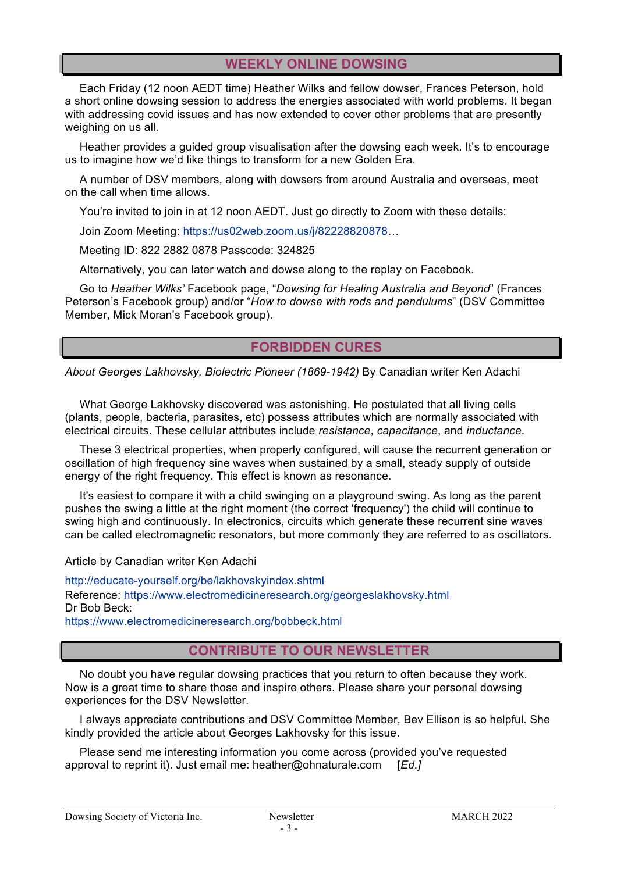### **WEEKLY ONLINE DOWSING**

Each Friday (12 noon AEDT time) Heather Wilks and fellow dowser, Frances Peterson, hold a short online dowsing session to address the energies associated with world problems. It began with addressing covid issues and has now extended to cover other problems that are presently weighing on us all.

Heather provides a guided group visualisation after the dowsing each week. It's to encourage us to imagine how we'd like things to transform for a new Golden Era.

A number of DSV members, along with dowsers from around Australia and overseas, meet on the call when time allows.

You're invited to join in at 12 noon AEDT. Just go directly to Zoom with these details:

Join Zoom Meeting: https://us02web.zoom.us/j/82228820878…

Meeting ID: 822 2882 0878 Passcode: 324825

Alternatively, you can later watch and dowse along to the replay on Facebook.

Go to *Heather Wilks'* Facebook page, "*Dowsing for Healing Australia and Beyond*" (Frances Peterson's Facebook group) and/or "*How to dowse with rods and pendulums*" (DSV Committee Member, Mick Moran's Facebook group).

### **FORBIDDEN CURES**

*About Georges Lakhovsky, Biolectric Pioneer (1869-1942)* By Canadian writer Ken Adachi

What George Lakhovsky discovered was astonishing. He postulated that all living cells (plants, people, bacteria, parasites, etc) possess attributes which are normally associated with electrical circuits. These cellular attributes include *resistance*, *capacitance*, and *inductance*.

These 3 electrical properties, when properly configured, will cause the recurrent generation or oscillation of high frequency sine waves when sustained by a small, steady supply of outside energy of the right frequency. This effect is known as resonance.

It's easiest to compare it with a child swinging on a playground swing. As long as the parent pushes the swing a little at the right moment (the correct 'frequency') the child will continue to swing high and continuously. In electronics, circuits which generate these recurrent sine waves can be called electromagnetic resonators, but more commonly they are referred to as oscillators.

Article by Canadian writer Ken Adachi

http://educate-yourself.org/be/lakhovskyindex.shtml Reference: https://www.electromedicineresearch.org/georgeslakhovsky.html Dr Bob Beck: https://www.electromedicineresearch.org/bobbeck.html

### **CONTRIBUTE TO OUR NEWSLETTER**

No doubt you have regular dowsing practices that you return to often because they work. Now is a great time to share those and inspire others. Please share your personal dowsing experiences for the DSV Newsletter.

I always appreciate contributions and DSV Committee Member, Bev Ellison is so helpful. She kindly provided the article about Georges Lakhovsky for this issue.

Please send me interesting information you come across (provided you've requested approval to reprint it). Just email me: heather@ohnaturale.com [*Ed.]*